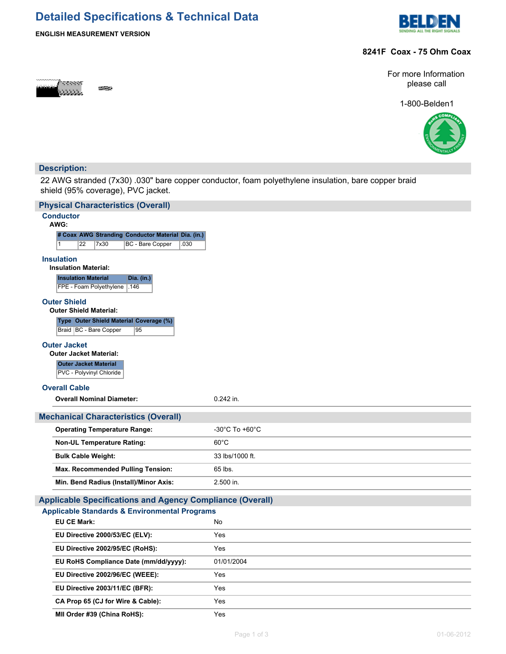# **Detailed Specifications & Technical Data**



## **ENGLISH MEASUREMENT VERSION**

### **8241F Coax - 75 Ohm Coax**



For more Information please call

1-800-Belden1



### **Description:**

22 AWG stranded (7x30) .030" bare copper conductor, foam polyethylene insulation, bare copper braid shield (95% coverage), PVC jacket.

| <b>Physical Characteristics (Overall)</b>                                 |                 |  |  |  |  |  |
|---------------------------------------------------------------------------|-----------------|--|--|--|--|--|
| <b>Conductor</b>                                                          |                 |  |  |  |  |  |
| AWG:<br># Coax AWG Stranding Conductor Material Dia. (in.)                |                 |  |  |  |  |  |
| 22<br>7x30<br>BC - Bare Copper<br>.030<br>1                               |                 |  |  |  |  |  |
| <b>Insulation</b>                                                         |                 |  |  |  |  |  |
| <b>Insulation Material:</b>                                               |                 |  |  |  |  |  |
| <b>Insulation Material</b><br>Dia. (in.)                                  |                 |  |  |  |  |  |
| FPE - Foam Polyethylene   .146                                            |                 |  |  |  |  |  |
| <b>Outer Shield</b><br><b>Outer Shield Material:</b>                      |                 |  |  |  |  |  |
| Type Outer Shield Material Coverage (%)<br>Braid   BC - Bare Copper<br>95 |                 |  |  |  |  |  |
| <b>Outer Jacket</b>                                                       |                 |  |  |  |  |  |
| <b>Outer Jacket Material:</b>                                             |                 |  |  |  |  |  |
| <b>Outer Jacket Material</b>                                              |                 |  |  |  |  |  |
| PVC - Polyvinyl Chloride                                                  |                 |  |  |  |  |  |
| <b>Overall Cable</b>                                                      |                 |  |  |  |  |  |
| <b>Overall Nominal Diameter:</b>                                          | $0.242$ in.     |  |  |  |  |  |
| <b>Mechanical Characteristics (Overall)</b>                               |                 |  |  |  |  |  |
| <b>Operating Temperature Range:</b>                                       | -30°C To +60°C  |  |  |  |  |  |
| <b>Non-UL Temperature Rating:</b>                                         | $60^{\circ}$ C  |  |  |  |  |  |
| <b>Bulk Cable Weight:</b>                                                 | 33 lbs/1000 ft. |  |  |  |  |  |
| Max. Recommended Pulling Tension:                                         | 65 lbs.         |  |  |  |  |  |
| Min. Bend Radius (Install)/Minor Axis:                                    | 2.500 in.       |  |  |  |  |  |
| <b>Applicable Specifications and Agency Compliance (Overall)</b>          |                 |  |  |  |  |  |
| <b>Applicable Standards &amp; Environmental Programs</b>                  |                 |  |  |  |  |  |
| <b>EU CE Mark:</b>                                                        | No              |  |  |  |  |  |
| EU Directive 2000/53/EC (ELV):                                            | Yes             |  |  |  |  |  |
| EU Directive 2002/95/EC (RoHS):                                           | Yes             |  |  |  |  |  |
| EU RoHS Compliance Date (mm/dd/yyyy):                                     | 01/01/2004      |  |  |  |  |  |
| EU Directive 2002/96/EC (WEEE):                                           | Yes             |  |  |  |  |  |
| EU Directive 2003/11/EC (BFR):                                            | Yes             |  |  |  |  |  |
| CA Prop 65 (CJ for Wire & Cable):                                         | Yes             |  |  |  |  |  |
|                                                                           |                 |  |  |  |  |  |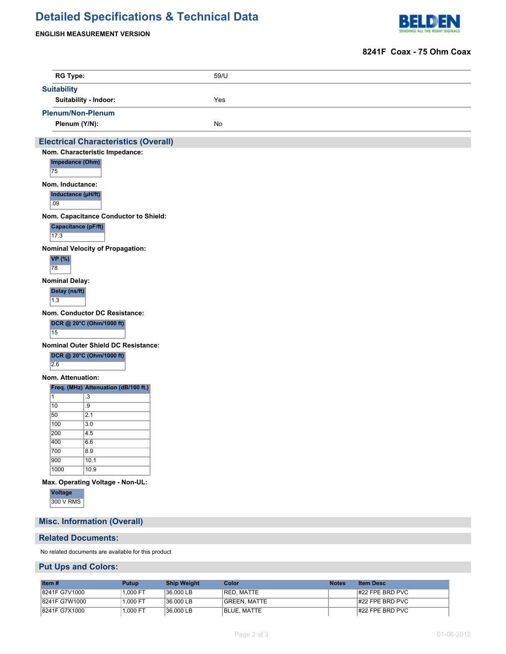# **Detailed Specifications & Technical Data**



## **ENGLISH MEASUREMENT VERSION**

#### **8241F Coax - 75 Ohm Coax**

| <b>RG Type:</b>                                     |                                                              | 59/U |  |  |  |
|-----------------------------------------------------|--------------------------------------------------------------|------|--|--|--|
| <b>Suitability</b>                                  |                                                              |      |  |  |  |
|                                                     | Suitability - Indoor:                                        | Yes  |  |  |  |
|                                                     | <b>Plenum/Non-Plenum</b>                                     |      |  |  |  |
|                                                     | Plenum (Y/N):                                                | No   |  |  |  |
|                                                     | <b>Electrical Characteristics (Overall)</b>                  |      |  |  |  |
|                                                     | Nom. Characteristic Impedance:                               |      |  |  |  |
| 75                                                  | Impedance (Ohm)                                              |      |  |  |  |
|                                                     |                                                              |      |  |  |  |
| Nom. Inductance:                                    |                                                              |      |  |  |  |
| .09                                                 | Inductance (µH/ft)                                           |      |  |  |  |
|                                                     |                                                              |      |  |  |  |
|                                                     | Nom. Capacitance Conductor to Shield:<br>Capacitance (pF/ft) |      |  |  |  |
| 17.3                                                |                                                              |      |  |  |  |
|                                                     | <b>Nominal Velocity of Propagation:</b>                      |      |  |  |  |
| <b>VP</b> (%)                                       |                                                              |      |  |  |  |
| 78                                                  |                                                              |      |  |  |  |
| <b>Nominal Delay:</b>                               |                                                              |      |  |  |  |
| Delay (ns/ft)                                       |                                                              |      |  |  |  |
| 1.3                                                 |                                                              |      |  |  |  |
|                                                     | Nom. Conductor DC Resistance:                                |      |  |  |  |
|                                                     | DCR @ 20°C (Ohm/1000 ft)                                     |      |  |  |  |
| 15                                                  |                                                              |      |  |  |  |
|                                                     | Nominal Outer Shield DC Resistance:                          |      |  |  |  |
|                                                     | DCR @ 20°C (Ohm/1000 ft)                                     |      |  |  |  |
| $\overline{2.6}$                                    |                                                              |      |  |  |  |
| Nom. Attenuation:                                   |                                                              |      |  |  |  |
|                                                     | Freq. (MHz) Attenuation (dB/100 ft.)                         |      |  |  |  |
| $\overline{1}$                                      | $\overline{.3}$                                              |      |  |  |  |
| 10<br>50                                            | $\overline{.9}$<br>2.1                                       |      |  |  |  |
| 100                                                 | 3.0                                                          |      |  |  |  |
| 200                                                 | 4.5                                                          |      |  |  |  |
| 400                                                 | 6.6                                                          |      |  |  |  |
| 700                                                 | 8.9                                                          |      |  |  |  |
| 900<br>1000                                         | 10.1<br>10.9                                                 |      |  |  |  |
|                                                     |                                                              |      |  |  |  |
| Max. Operating Voltage - Non-UL:<br>Voltage         |                                                              |      |  |  |  |
| 300 V RMS                                           |                                                              |      |  |  |  |
|                                                     |                                                              |      |  |  |  |
|                                                     | <b>Misc. Information (Overall)</b>                           |      |  |  |  |
|                                                     | <b>Related Documents:</b>                                    |      |  |  |  |
|                                                     |                                                              |      |  |  |  |
| No related documents are available for this product |                                                              |      |  |  |  |

# **Put Ups and Colors:**

| Item $#$      | Putup    | <b>Ship Weight</b> | Color              | <b>Notes</b> | <b>Item Desc</b>        |
|---------------|----------|--------------------|--------------------|--------------|-------------------------|
| 8241F G7V1000 | 1.000 FT | $36.000$ LB        | <b>RED. MATTE</b>  |              | $ #22$ FPE BRD PVC      |
| 8241F G7W1000 | 1.000 FT | 36.000 LB          | IGREEN. MATTE      |              | $\sharp$ 22 FPE BRD PVC |
| 8241F G7X1000 | 1,000 FT | 36.000 LB          | <b>BLUE, MATTE</b> |              | $ #22$ FPE BRD PVC      |